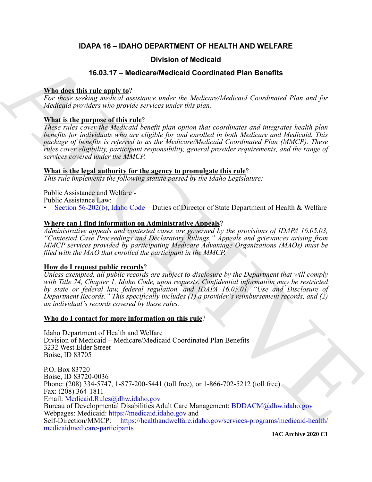# **IDAPA 16 – IDAHO DEPARTMENT OF HEALTH AND WELFARE**

# **Division of Medicaid**

# **16.03.17 – Medicare/Medicaid Coordinated Plan Benefits**

# **Who does this rule apply to**?

*For those seeking medical assistance under the Medicare/Medicaid Coordinated Plan and for Medicaid providers who provide services under this plan.*

# **What is the purpose of this rule**?

*These rules cover the Medicaid benefit plan option that coordinates and integrates health plan benefits for individuals who are eligible for and enrolled in both Medicare and Medicaid. This package of benefits is referred to as the Medicare/Medicaid Coordinated Plan (MMCP). These rules cover eligibility, participant responsibility, general provider requirements, and the range of services covered under the MMCP.*

# **What is the legal authority for the agency to promulgate this rule**?

*This rule implements the following statute passed by the Idaho Legislature:*

Public Assistance and Welfare - Public Assistance Law:

• Section 56-202(b), Idaho Code – Duties of Director of State Department of Health & Welfare

# **Where can I find information on Administrative Appeals**?

*Administrative appeals and contested cases are governed by the provisions of IDAPA 16.05.03, "Contested Case Proceedings and Declaratory Rulings." Appeals and grievances arising from MMCP services provided by participating Medicare Advantage Organizations (MAOs) must be filed with the MAO that enrolled the participant in the MMCP.*

# **How do I request public records**?

*Unless exempted, all public records are subject to disclosure by the Department that will comply with Title 74, Chapter 1, Idaho Code, upon requests. Confidential information may be restricted by state or federal law, federal regulation, and IDAPA 16.05.01, "Use and Disclosure of Department Records." This specifically includes (1) a provider's reimbursement records, and (2) an individual's records covered by these rules.*

# **Who do I contact for more information on this rule**?

Idaho Department of Health and Welfare Division of Medicaid – Medicare/Medicaid Coordinated Plan Benefits 3232 West Elder Street Boise, ID 83705

**16.03.17 – Modelloaid**<br> **16.03.17 – Modelloaid Archivest Modelloaid Archivest School Archivest School Archivest School Archivest School Archivest School Archivest School Archivest School Archivest School Archivest School** P.O. Box 83720 Boise, ID 83720-0036 Phone: (208) 334-5747, 1-877-200-5441 (toll free), or 1-866-702-5212 (toll free) Fax: (208) 364-1811 Email: Medicaid.Rules@dhw.idaho.gov Bureau of Developmental Disabilities Adult Care Management: BDDACM@dhw.idaho.gov Webpages: Medicaid: https://medicaid.idaho.gov and Self-Direction/MMCP: https://healthandwelfare.idaho.gov/services-programs/medicaid-health/ [medicaidmedicare-participants](https://healthandwelfare.idaho.gov/services-programs/medicaid-health/medicaidmedicare-participants)

**IAC Archive 2020 C1**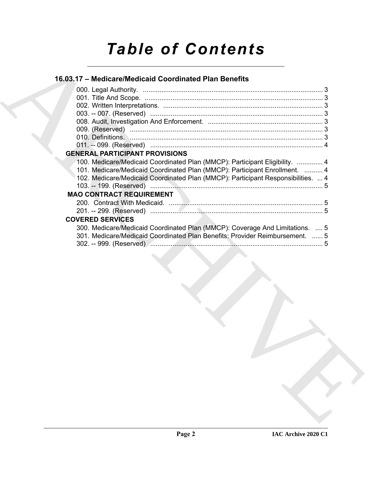# *Table of Contents*

# **16.03.17 – Medicare/Medicaid Coordinated Plan Benefits**

| <b>GENERAL PARTICIPANT PROVISIONS</b>                                                                                                                                                   |
|-----------------------------------------------------------------------------------------------------------------------------------------------------------------------------------------|
| 100. Medicare/Medicaid Coordinated Plan (MMCP): Participant Eligibility.  4                                                                                                             |
| 101. Medicare/Medicaid Coordinated Plan (MMCP): Participant Enrollment.  4                                                                                                              |
| 102. Medicare/Medicaid Coordinated Plan (MMCP): Participant Responsibilities.  4                                                                                                        |
| <b>MAO CONTRACT REQUIREMENT</b>                                                                                                                                                         |
|                                                                                                                                                                                         |
|                                                                                                                                                                                         |
|                                                                                                                                                                                         |
|                                                                                                                                                                                         |
| <b>COVERED SERVICES</b><br>300. Medicare/Medicaid Coordinated Plan (MMCP): Coverage And Limitations.  5<br>301. Medicare/Medicaid Coordinated Plan Benefits: Provider Reimbursement.  5 |
|                                                                                                                                                                                         |
|                                                                                                                                                                                         |
|                                                                                                                                                                                         |
|                                                                                                                                                                                         |
|                                                                                                                                                                                         |
|                                                                                                                                                                                         |
|                                                                                                                                                                                         |
|                                                                                                                                                                                         |
|                                                                                                                                                                                         |
|                                                                                                                                                                                         |
|                                                                                                                                                                                         |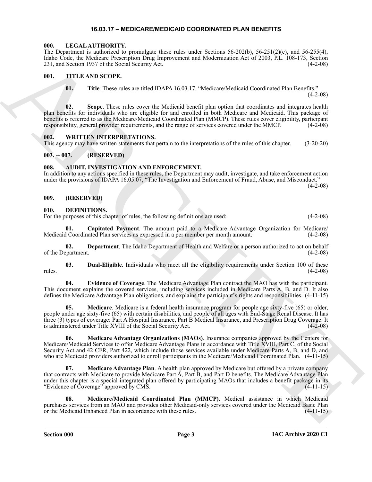# **16.03.17 – MEDICARE/MEDICAID COORDINATED PLAN BENEFITS**

#### <span id="page-2-18"></span><span id="page-2-1"></span><span id="page-2-0"></span>**000. LEGAL AUTHORITY.**

The Department is authorized to promulgate these rules under Sections  $56-202(b)$ ,  $56-251(2)(c)$ , and  $56-255(4)$ , Idaho Code, the Medicare Prescription Drug Improvement and Modernization Act of 2003, P.L. 108-173, Section 231, and Section 1937 of the Social Security Act.

### <span id="page-2-2"></span>**001. TITLE AND SCOPE.**

<span id="page-2-19"></span>**01. Title**. These rules are titled IDAPA 16.03.17, "Medicare/Medicaid Coordinated Plan Benefits."

 $(4-2-08)$ 

**02. Scope**. These rules cover the Medicaid benefit plan option that coordinates and integrates health plan benefits for individuals who are eligible for and enrolled in both Medicare and Medicaid. This package of benefits is referred to as the Medicare/Medicaid Coordinated Plan (MMCP). These rules cover eligibility, participant responsibility, general provider requirements, and the range of services covered under the MMCP. (4-2-08)

## <span id="page-2-20"></span><span id="page-2-3"></span>**002. WRITTEN INTERPRETATIONS.**

This agency may have written statements that pertain to the interpretations of the rules of this chapter. (3-20-20)

# <span id="page-2-4"></span>**003. -- 007. (RESERVED)**

## <span id="page-2-8"></span><span id="page-2-5"></span>**008. AUDIT, INVESTIGATION AND ENFORCEMENT.**

In addition to any actions specified in these rules, the Department may audit, investigate, and take enforcement action under the provisions of IDAPA 16.05.07, "The Investigation and Enforcement of Fraud, Abuse, and Misconduct."  $(4-2-08)$ 

## <span id="page-2-6"></span>**009. (RESERVED)**

#### <span id="page-2-9"></span><span id="page-2-7"></span>**010. DEFINITIONS.**

For the purposes of this chapter of rules, the following definitions are used:  $(4-2-08)$ 

<span id="page-2-10"></span>**01. Capitated Payment**. The amount paid to a Medicare Advantage Organization for Medicare/ Medicaid Coordinated Plan services as expressed in a per member per month amount. (4-2-08)

<span id="page-2-11"></span>**02.** Department. The Idaho Department of Health and Welfare or a person authorized to act on behalf partment. (4-2-08) of the Department.

<span id="page-2-12"></span>**03. Dual-Eligible**. Individuals who meet all the eligibility requirements under Section 100 of these rules. (4-2-08)

<span id="page-2-13"></span>**04. Evidence of Coverage**. The Medicare Advantage Plan contract the MAO has with the participant. This document explains the covered services, including services included in Medicare Parts A, B, and D. It also defines the Medicare Advantage Plan obligations, and explains the participant's rights and responsibilities. (4-11-15)

<span id="page-2-15"></span><span id="page-2-14"></span>**05. Medicare**. Medicare is a federal health insurance program for people age sixty-five (65) or older, people under age sixty-five (65) with certain disabilities, and people of all ages with End-Stage Renal Disease. It has three (3) types of coverage: Part A Hospital Insurance, Part B Medical Insurance, and Prescription Drug Coverage. It is administered under Title XVIII of the Social Security Act. (4-2-08)

16.16. Colored Mathematical Definition (English) and the distribution and of 2003, PL. 108-175, 843. (ii)<br>17. THE ARCHIVER'S CONFIGURATION (CONFIGURATION CONFIGURATION (CONFIGURATION 16. THE ARCHIVER'S 12. (ii) 28. (ii)<br>1 **06. Medicare Advantage Organizations (MAOs)**. Insurance companies approved by the Centers for Medicare/Medicaid Services to offer Medicare Advantage Plans in accordance with Title XVIII, Part C, of the Social Security Act and 42 CFR, Part 422, which include those services available under Medicare Parts A, B, and D, and who are Medicaid providers authorized to enroll participants in the Medicare/Medicaid Coordinated Plan. (4-11-15)

<span id="page-2-16"></span>**07. Medicare Advantage Plan**. A health plan approved by Medicare but offered by a private company that contracts with Medicare to provide Medicare Part A, Part B, and Part D benefits. The Medicare Advantage Plan under this chapter is a special integrated plan offered by participating MAOs that includes a benefit package in its "Evidence of Coverage" approved by CMS. (4-11-15)

<span id="page-2-17"></span>**08. Medicare/Medicaid Coordinated Plan (MMCP)**. Medical assistance in which Medicaid purchases services from an MAO and provides other Medicaid-only services covered under the Medicaid Basic Plan<br>or the Medicaid Enhanced Plan in accordance with these rules. (4-11-15) or the Medicaid Enhanced Plan in accordance with these rules.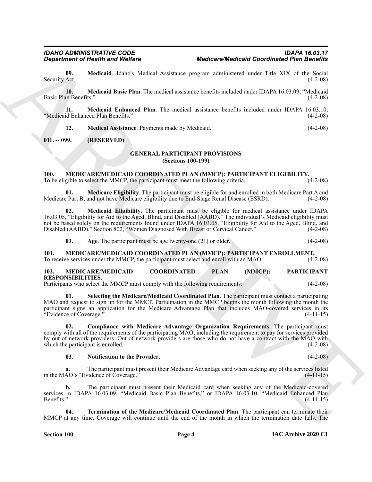<span id="page-3-5"></span>**09. Medicaid**. Idaho's Medical Assistance program administered under Title XIX of the Social Security Act.

<span id="page-3-6"></span>**10. Medicaid Basic Plan**. The medical assistance benefits included under IDAPA 16.03.09, "Medicaid Basic Plan Benefits." (4-2-08)

**11. Medicaid Enhanced Plan**. The medical assistance benefits included under IDAPA 16.03.10, "Medicaid Enhanced Plan Benefits." (4-2-08)

<span id="page-3-8"></span><span id="page-3-7"></span>**12. Medical Assistance**. Payments made by Medicaid. (4-2-08)

# <span id="page-3-1"></span><span id="page-3-0"></span>**011. -- 099. (RESERVED)**

#### <span id="page-3-9"></span>**GENERAL PARTICIPANT PROVISIONS (Sections 100-199)**

#### <span id="page-3-10"></span><span id="page-3-2"></span>**100. MEDICARE/MEDICAID COORDINATED PLAN (MMCP): PARTICIPANT ELIGIBILITY.**

To be eligible to select the MMCP, the participant must meet the following criteria. (4-2-08)

<span id="page-3-13"></span>**01. Medicare Eligibility**. The participant must be eligible for and enrolled in both Medicare Part A and Medicare Part B, and not have Medicare eligibility due to End-Stage Renal Disease (ESRD). (4-2-08)

**02. Medicaid Eligibility**. The participant must be eligible for medical assistance under IDAPA 16.03.05, "Eligibility for Aid to the Aged, Blind, and Disabled (AABD)." The individual's Medicaid eligibility must not be based solely on the requirements found under IDAPA 16.03.05, "Eligibility for Aid to the Aged, Blind, and Disabled (AABD)," Section 802, "Women Diagnosed With Breast or Cervical Cancer." (4-2-08)

<span id="page-3-14"></span><span id="page-3-12"></span><span id="page-3-11"></span>**03.** Age. The participant must be age twenty-one (21) or older. (4-2-08)

<span id="page-3-3"></span>**101. MEDICARE/MEDICAID COORDINATED PLAN (MMCP): PARTICIPANT ENROLLMENT.** To receive services under the MMCP, the participant must select and enroll with an MAO. (4-2-08)

<span id="page-3-15"></span><span id="page-3-4"></span>**102. MEDICARE/MEDICAID COORDINATED PLAN (MMCP): PARTICIPANT RESPONSIBILITIES.**

Participants who select the MMCP must comply with the following requirements: (4-2-08)

<span id="page-3-18"></span>**01. Selecting the Medicare/Medicaid Coordinated Plan**. The participant must contact a participating MAO and request to sign up for the MMCP. Participation in the MMCP begins the month following the month the participant signs an application for the Medicare Advantage Plan that includes MAO-covered services in its "Evidence of Coverage." (4-11-15)

**Equivariation Constitution Constitution Constitution Constitution Constitution Constitution Constitution Constitution Constitution Constitution Constitution Constitution Constitution Constitution Constitution Constitutio 02. Compliance with Medicare Advantage Organization Requirements**. The participant must comply with all of the requirements of the participating MAO, including the requirement to pay for services provided by out-of-network providers. Out-of-network providers are those who do not have a contract with the MAO with which the participant is enrolled. (4-2-08) (4-2-08)

#### <span id="page-3-17"></span><span id="page-3-16"></span>**03. Notification to the Provider**. (4-2-08)

**a.** The participant must present their Medicare Advantage card when seeking any of the services listed AO's "Evidence of Coverage." (4-11-15) in the MAO's "Evidence of Coverage."

**b.** The participant must present their Medicaid card when seeking any of the Medicaid-covered services in IDAPA 16.03.09, "Medicaid Basic Plan Benefits," or IDAPA 16.03.10, "Medicaid Enhanced Plan Benefits." (4-11-15)

<span id="page-3-19"></span>**04. Termination of the Medicare/Medicaid Coordinated Plan**. The participant can terminate their MMCP at any time. Coverage will continue until the end of the month in which the termination date falls. The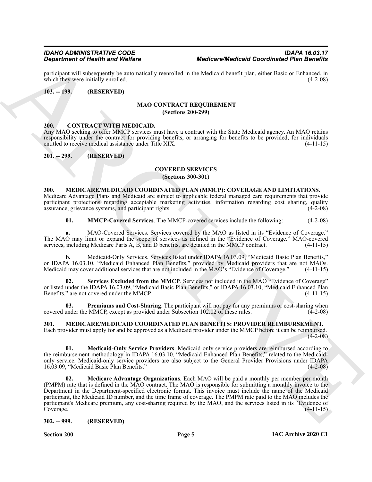participant will subsequently be automatically reenrolled in the Medicaid benefit plan, either Basic or Enhanced, in which they were initially enrolled. (4-2-08) which they were initially enrolled.

#### <span id="page-4-1"></span><span id="page-4-0"></span>**103. -- 199. (RESERVED)**

#### <span id="page-4-10"></span> **MAO CONTRACT REQUIREMENT (Sections 200-299)**

### <span id="page-4-8"></span><span id="page-4-2"></span>**200. CONTRACT WITH MEDICAID.**

Any MAO seeking to offer MMCP services must have a contract with the State Medicaid agency. An MAO retains responsibility under the contract for providing benefits, or arranging for benefits to be provided, for individuals entitled to receive medical assistance under Title XIX. (4-11-15)

<span id="page-4-4"></span><span id="page-4-3"></span>**201. -- 299. (RESERVED)**

#### <span id="page-4-9"></span>**COVERED SERVICES (Sections 300-301)**

#### <span id="page-4-11"></span><span id="page-4-5"></span>**300. MEDICARE/MEDICAID COORDINATED PLAN (MMCP): COVERAGE AND LIMITATIONS.** Medicare Advantage Plans and Medicaid are subject to applicable federal managed care requirements that provide

participant protections regarding acceptable marketing activities, information regarding cost sharing, quality assurance, grievance systems, and participant rights. (4-2-08)

<span id="page-4-12"></span>**01. MMCP-Covered Services**. The MMCP-covered services include the following: (4-2-08)

**a.** MAO-Covered Services. Services covered by the MAO as listed in its "Evidence of Coverage." The MAO may limit or expand the scope of services as defined in the "Evidence of Coverage." MAO-covered services, including Medicare Parts A, B, and D benefits, are detailed in the MMCP contract. (4-11-15) services, including Medicare Parts A, B, and D benefits, are detailed in the MMCP contract.

**b.** Medicaid-Only Services. Services listed under IDAPA 16.03.09, "Medicaid Basic Plan Benefits," or IDAPA 16.03.10, "Medicaid Enhanced Plan Benefits," provided by Medicaid providers that are not MAOs. Medicaid may cover additional services that are not included in the MAO's "Evidence of Coverage." (4-11-15)

<span id="page-4-14"></span>**02. Services Excluded from the MMCP**. Services not included in the MAO "Evidence of Coverage" or listed under the IDAPA 16.03.09, "Medicaid Basic Plan Benefits," or IDAPA 16.03.10, "Medicaid Enhanced Plan Benefits," are not covered under the MMCP. (4-11-15)

<span id="page-4-13"></span>**03. Premiums and Cost-Sharing**. The participant will not pay for any premiums or cost-sharing when covered under the MMCP, except as provided under Subsection 102.02 of these rules.  $(4-2-08)$ 

# <span id="page-4-15"></span><span id="page-4-6"></span>**301. MEDICARE/MEDICAID COORDINATED PLAN BENEFITS: PROVIDER REIMBURSEMENT.**

Each provider must apply for and be approved as a Medicaid provider under the MMCP before it can be reimbursed.  $(4-2-08)$ 

<span id="page-4-17"></span><span id="page-4-16"></span>**01. Medicaid-Only Service Providers**. Medicaid-only service providers are reimbursed according to the reimbursement methodology in IDAPA 16.03.10, "Medicaid Enhanced Plan Benefits," related to the Medicaidonly service. Medicaid-only service providers are also subject to the General Provider Provisions under IDAPA 16.03.09, "Medicaid Basic Plan Benefits." (4-2-08)

**Experiment of New York Control and Welfare Medicine Medicine Medicine and the stationary of the Schedule of New York Control and Schedule of New York Control and Schedule of New York Control and Schedule of New York Cont 02. Medicare Advantage Organizations**. Each MAO will be paid a monthly per member per month (PMPM) rate that is defined in the MAO contract. The MAO is responsible for submitting a monthly invoice to the Department in the Department-specified electronic format. This invoice must include the name of the Medicaid participant, the Medicaid ID number, and the time frame of coverage. The PMPM rate paid to the MAO includes the participant's Medicare premium, any cost-sharing required by the MAO, and the services listed in its "Evidence of Coverage. (4-11-15)

<span id="page-4-7"></span>**302. -- 999. (RESERVED)**

**Section 200 Page 5**